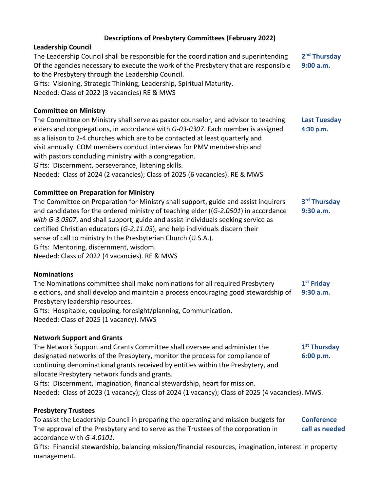# **Descriptions of Presbytery Committees (February 2022)**

### **Leadership Council**

The Leadership Council shall be responsible for the coordination and superintending **2** 2<sup>nd</sup> **Thursday** Of the agencies necessary to execute the work of the Presbytery that are responsible **9:00 a.m.** to the Presbytery through the Leadership Council. Gifts: Visioning, Strategic Thinking, Leadership, Spiritual Maturity. Needed: Class of 2022 (3 vacancies) RE & MWS

**Committee on Ministry**

The Committee on Ministry shall serve as pastor counselor, and advisor to teaching **Last Tuesday** elders and congregations, in accordance with *G-03-0307*. Each member is assigned **4:30 p.m.** as a liaison to 2-4 churches which are to be contacted at least quarterly and visit annually. COM members conduct interviews for PMV membership and with pastors concluding ministry with a congregation. Gifts: Discernment, perseverance, listening skills. Needed: Class of 2024 (2 vacancies); Class of 2025 (6 vacancies). RE & MWS

## **Committee on Preparation for Ministry**

The Committee on Preparation for Ministry shall support, guide and assist inquirers **3 rd Thursday** and candidates for the ordered ministry of teaching elder ((*G-2.0501*) in accordance **9:30 a.m.** *with G-3.0307*, and shall support, guide and assist individuals seeking service as certified Christian educators (*G-2.11.03*), and help individuals discern their sense of call to ministry In the Presbyterian Church (U.S.A.). Gifts: Mentoring, discernment, wisdom. Needed: Class of 2022 (4 vacancies). RE & MWS

### **Nominations**

The Nominations committee shall make nominations for all required Presbytery **1 st Friday** elections, and shall develop and maintain a process encouraging good stewardship of **9:30 a.m.** Presbytery leadership resources.

Gifts: Hospitable, equipping, foresight/planning, Communication. Needed: Class of 2025 (1 vacancy). MWS

### **Network Support and Grants**

The Network Support and Grants Committee shall oversee and administer the **1 st Thursday** designated networks of the Presbytery, monitor the process for compliance of **6:00 p.m.** continuing denominational grants received by entities within the Presbytery, and allocate Presbytery network funds and grants. Gifts: Discernment, imagination, financial stewardship, heart for mission.

Needed: Class of 2023 (1 vacancy); Class of 2024 (1 vacancy); Class of 2025 (4 vacancies). MWS.

### **Presbytery Trustees**

To assist the Leadership Council in preparing the operating and mission budgets for **Conference**  The approval of the Presbytery and to serve as the Trustees of the corporation in **call as needed** accordance with *G-4.0101*.

Gifts: Financial stewardship, balancing mission/financial resources, imagination, interest in property management.